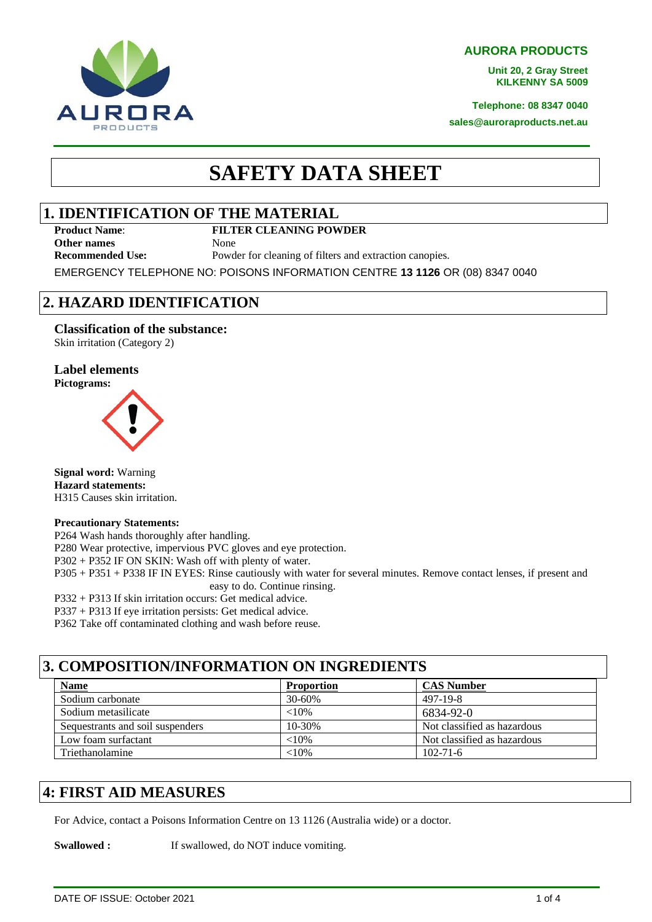**AURORA PRODUCTS**

**Unit 20, 2 Gray Street KILKENNY SA 5009**

**Telephone: 08 8347 0040**

**sales@auroraproducts.net.au**

# **SAFETY DATA SHEET**

#### **1. IDENTIFICATION OF THE MATERIAL**

**Other names** None

AURORA **PRODUCTS** 

#### **Product Name**: **FILTER CLEANING POWDER**

**Recommended Use:** Powder for cleaning of filters and extraction canopies.

EMERGENCY TELEPHONE NO: POISONS INFORMATION CENTRE **13 1126** OR (08) 8347 0040

### **2. HAZARD IDENTIFICATION**

#### **Classification of the substance:**

Skin irritation (Category 2)

#### **Label elements Pictograms:**



**Signal word:** Warning **Hazard statements:** H315 Causes skin irritation.

#### **Precautionary Statements:**

P264 Wash hands thoroughly after handling. P280 Wear protective, impervious PVC gloves and eye protection. P302 + P352 IF ON SKIN: Wash off with plenty of water. P305 + P351 + P338 IF IN EYES: Rinse cautiously with water for several minutes. Remove contact lenses, if present and easy to do. Continue rinsing. P332 + P313 If skin irritation occurs: Get medical advice.

P337 + P313 If eye irritation persists: Get medical advice.

P362 Take off contaminated clothing and wash before reuse.

#### **3. COMPOSITION/INFORMATION ON INGREDIENTS**

| <b>Name</b>                      | <b>Proportion</b> | <b>CAS Number</b>           |
|----------------------------------|-------------------|-----------------------------|
| Sodium carbonate                 | 30-60%            | 497-19-8                    |
| Sodium metasilicate              | ${<}10\%$         | 6834-92-0                   |
| Sequestrants and soil suspenders | $10 - 30%$        | Not classified as hazardous |
| Low foam surfactant              | $<10\%$           | Not classified as hazardous |
| Triethanolamine                  | ${<}10%$          | $102 - 71 - 6$              |

#### **4: FIRST AID MEASURES**

For Advice, contact a Poisons Information Centre on 13 1126 (Australia wide) or a doctor.

**Swallowed :** If swallowed, do NOT induce vomiting.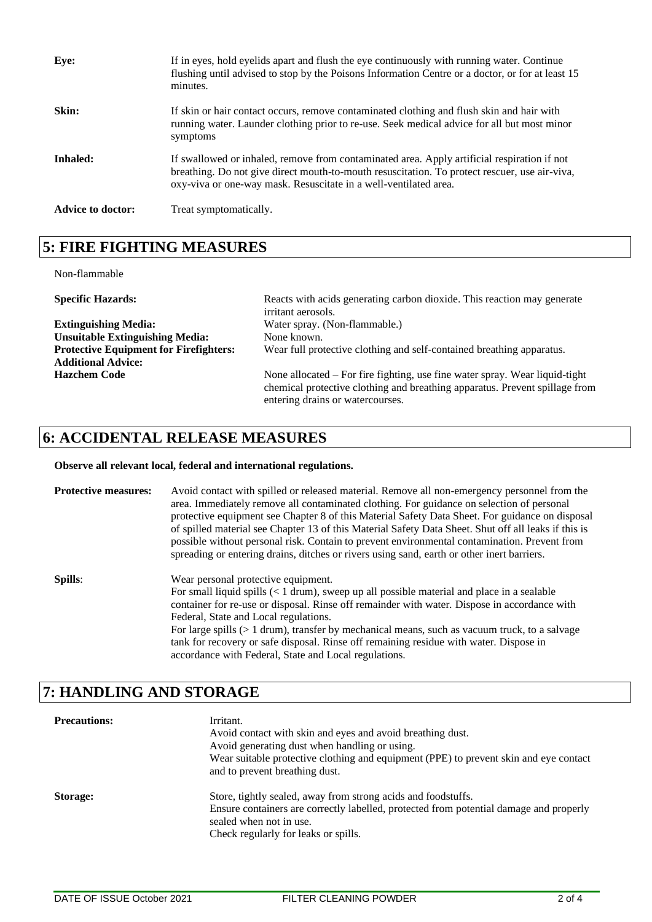| Eye:                     | If in eyes, hold eyelids apart and flush the eye continuously with running water. Continue<br>flushing until advised to stop by the Poisons Information Centre or a doctor, or for at least 15<br>minutes.                                                       |
|--------------------------|------------------------------------------------------------------------------------------------------------------------------------------------------------------------------------------------------------------------------------------------------------------|
| Skin:                    | If skin or hair contact occurs, remove contaminated clothing and flush skin and hair with<br>running water. Launder clothing prior to re-use. Seek medical advice for all but most minor<br>symptoms                                                             |
| Inhaled:                 | If swallowed or inhaled, remove from contaminated area. Apply artificial respiration if not<br>breathing. Do not give direct mouth-to-mouth resuscitation. To protect rescuer, use air-viva,<br>oxy-viva or one-way mask. Resuscitate in a well-ventilated area. |
| <b>Advice to doctor:</b> | Treat symptomatically.                                                                                                                                                                                                                                           |

## **5: FIRE FIGHTING MEASURES**

Non-flammable

**Specific Hazards:** Reacts with acids generating carbon dioxide. This reaction may generate irritant aerosols. **Extinguishing Media:** Water spray. (Non-flammable.) Unsuitable Extinguishing Media: None known. **Protective Equipment for Firefighters:** Wear full protective clothing and self-contained breathing apparatus. **Additional Advice: Hazchem Code** None allocated – For fire fighting, use fine water spray. Wear liquid-tight chemical protective clothing and breathing apparatus. Prevent spillage from entering drains or watercourses.

#### **6: ACCIDENTAL RELEASE MEASURES**

#### **Observe all relevant local, federal and international regulations.**

| <b>Protective measures:</b> | Avoid contact with spilled or released material. Remove all non-emergency personnel from the<br>area. Immediately remove all contaminated clothing. For guidance on selection of personal<br>protective equipment see Chapter 8 of this Material Safety Data Sheet. For guidance on disposal<br>of spilled material see Chapter 13 of this Material Safety Data Sheet. Shut off all leaks if this is<br>possible without personal risk. Contain to prevent environmental contamination. Prevent from<br>spreading or entering drains, ditches or rivers using sand, earth or other inert barriers. |
|-----------------------------|----------------------------------------------------------------------------------------------------------------------------------------------------------------------------------------------------------------------------------------------------------------------------------------------------------------------------------------------------------------------------------------------------------------------------------------------------------------------------------------------------------------------------------------------------------------------------------------------------|
| Spills:                     | Wear personal protective equipment.<br>For small liquid spills $(< 1 \text{ drum})$ , sweep up all possible material and place in a sealable<br>container for re-use or disposal. Rinse off remainder with water. Dispose in accordance with<br>Federal, State and Local regulations.<br>For large spills $(> 1$ drum), transfer by mechanical means, such as vacuum truck, to a salvage<br>tank for recovery or safe disposal. Rinse off remaining residue with water. Dispose in<br>accordance with Federal, State and Local regulations.                                                        |

## **7: HANDLING AND STORAGE**

| <b>Precautions:</b> | Irritant.<br>Avoid contact with skin and eyes and avoid breathing dust.<br>Avoid generating dust when handling or using.<br>Wear suitable protective clothing and equipment (PPE) to prevent skin and eye contact<br>and to prevent breathing dust. |
|---------------------|-----------------------------------------------------------------------------------------------------------------------------------------------------------------------------------------------------------------------------------------------------|
| Storage:            | Store, tightly sealed, away from strong acids and foodstuffs.<br>Ensure containers are correctly labelled, protected from potential damage and properly<br>sealed when not in use.<br>Check regularly for leaks or spills.                          |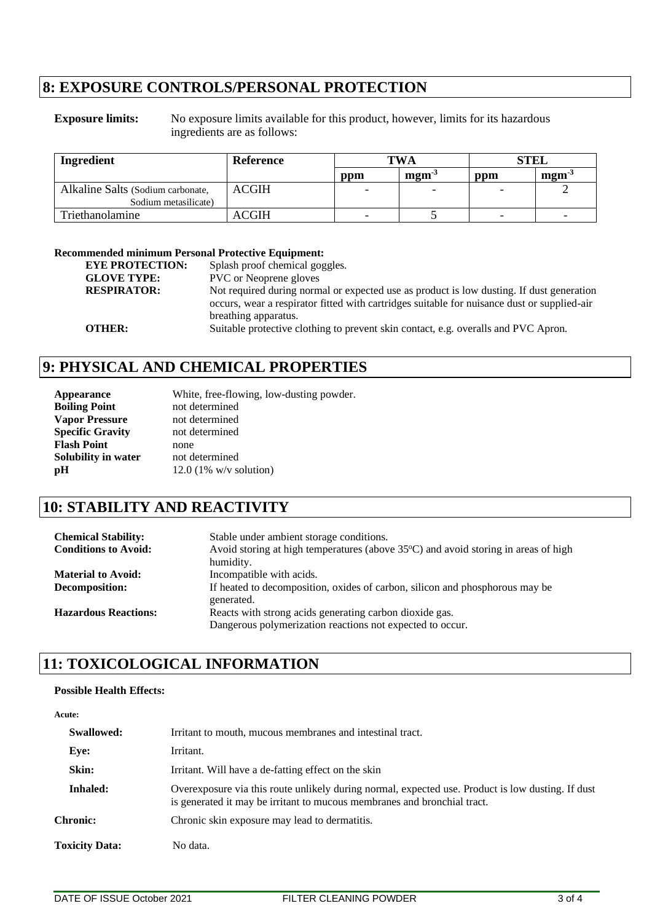#### **8: EXPOSURE CONTROLS/PERSONAL PROTECTION**

**Exposure limits:** No exposure limits available for this product, however, limits for its hazardous ingredients are as follows:

| Ingredient                                                | Reference    | <b>TWA</b>               |                                                | <b>STEL</b> |                                               |
|-----------------------------------------------------------|--------------|--------------------------|------------------------------------------------|-------------|-----------------------------------------------|
|                                                           |              | ppm                      | $\mathbf{m}\mathbf{g}\mathbf{m}$ <sup>-3</sup> | ppm         | $\mathbf{m}\mathbf{g}\mathbf{m}^{\mathbf{d}}$ |
| Alkaline Salts (Sodium carbonate,<br>Sodium metasilicate) | <b>ACGIH</b> | $\overline{\phantom{0}}$ | $\overline{\phantom{0}}$                       |             |                                               |
| Triethanolamine                                           | ACGIH        | $\overline{\phantom{0}}$ |                                                | -           |                                               |

#### **Recommended minimum Personal Protective Equipment:**

| Splash proof chemical goggles.                                                              |
|---------------------------------------------------------------------------------------------|
| <b>PVC</b> or Neoprene gloves                                                               |
| Not required during normal or expected use as product is low dusting. If dust generation    |
| occurs, wear a respirator fitted with cartridges suitable for nuisance dust or supplied-air |
| breathing apparatus.                                                                        |
| Suitable protective clothing to prevent skin contact, e.g. overalls and PVC Apron.          |
|                                                                                             |

## **9: PHYSICAL AND CHEMICAL PROPERTIES**

| <b>Appearance</b>       | White, free-flowing, low-dusting powder. |
|-------------------------|------------------------------------------|
| <b>Boiling Point</b>    | not determined                           |
| <b>Vapor Pressure</b>   | not determined                           |
| <b>Specific Gravity</b> | not determined                           |
| <b>Flash Point</b>      | none                                     |
| Solubility in water     | not determined                           |
| pH                      | $12.0$ (1% w/v solution)                 |

## **10: STABILITY AND REACTIVITY**

| <b>Chemical Stability:</b><br><b>Conditions to Avoid:</b> | Stable under ambient storage conditions.<br>Avoid storing at high temperatures (above $35^{\circ}$ C) and avoid storing in areas of high<br>humidity. |
|-----------------------------------------------------------|-------------------------------------------------------------------------------------------------------------------------------------------------------|
| <b>Material to Avoid:</b>                                 | Incompatible with acids.                                                                                                                              |
| Decomposition:                                            | If heated to decomposition, oxides of carbon, silicon and phosphorous may be<br>generated.                                                            |
| <b>Hazardous Reactions:</b>                               | Reacts with strong acids generating carbon dioxide gas.<br>Dangerous polymerization reactions not expected to occur.                                  |

### **11: TOXICOLOGICAL INFORMATION**

#### **Possible Health Effects:**

| Acute:                |                                                                                                                                                                               |
|-----------------------|-------------------------------------------------------------------------------------------------------------------------------------------------------------------------------|
| Swallowed:            | Irritant to mouth, mucous membranes and intestinal tract.                                                                                                                     |
| Eye:                  | Irritant.                                                                                                                                                                     |
| Skin:                 | Irritant. Will have a de-fatting effect on the skin                                                                                                                           |
| <b>Inhaled:</b>       | Overexposure via this route unlikely during normal, expected use. Product is low dusting. If dust<br>is generated it may be irritant to mucous membranes and bronchial tract. |
| <b>Chronic:</b>       | Chronic skin exposure may lead to dermatitis.                                                                                                                                 |
| <b>Toxicity Data:</b> | No data.                                                                                                                                                                      |